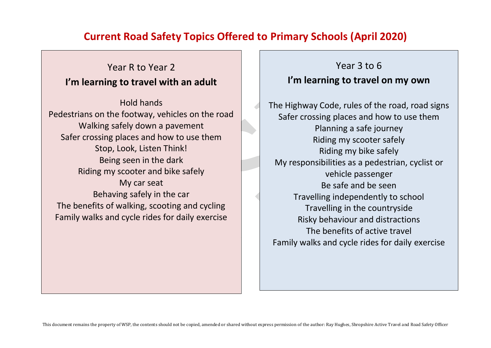# **Current Road Safety Topics Offered to Primary Schools (April 2020)**

# Year R to Year 2 **I'm learning to travel with an adult**

Hold hands Pedestrians on the footway, vehicles on the road Walking safely down a pavement Safer crossing places and how to use them Stop, Look, Listen Think! Being seen in the dark Riding my scooter and bike safely My car seat Behaving safely in the car The benefits of walking, scooting and cycling Family walks and cycle rides for daily exercise

Year 3 to 6 **I'm learning to travel on my own** 

The Highway Code, rules of the road, road signs Safer crossing places and how to use them Planning a safe journey Riding my scooter safely Riding my bike safely My responsibilities as a pedestrian, cyclist or vehicle passenger Be safe and be seen Travelling independently to school Travelling in the countryside Risky behaviour and distractions The benefits of active travel Family walks and cycle rides for daily exercise

This document remains the property of WSP, the contents should not be copied, amended or shared without express permission of the author: Ray Hughes, Shropshire Active Travel and Road Safety Officer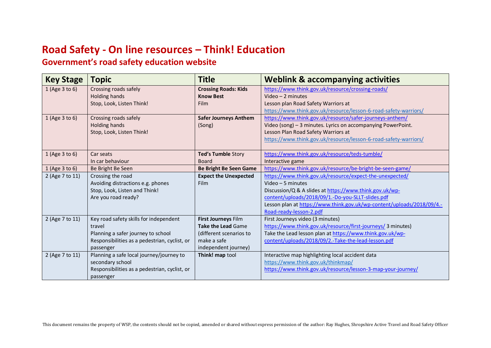# **Road Safety - On line resources – Think! Education**

## **Government's road safety education website**

| <b>Key Stage</b> | <b>Topic</b>                                  | <b>Title</b>                  | <b>Weblink &amp; accompanying activities</b>                            |
|------------------|-----------------------------------------------|-------------------------------|-------------------------------------------------------------------------|
| 1 (Age 3 to 6)   | Crossing roads safely                         | <b>Crossing Roads: Kids</b>   | https://www.think.gov.uk/resource/crossing-roads/                       |
|                  | Holding hands                                 | <b>Know Best</b>              | Video $-2$ minutes                                                      |
|                  | Stop, Look, Listen Think!                     | <b>Film</b>                   | Lesson plan Road Safety Warriors at                                     |
|                  |                                               |                               | https://www.think.gov.uk/resource/lesson-6-road-safety-warriors/        |
| 1 (Age 3 to 6)   | Crossing roads safely                         | <b>Safer Journeys Anthem</b>  | https://www.think.gov.uk/resource/safer-journeys-anthem/                |
|                  | Holding hands                                 | (Song)                        | Video (song) - 3 minutes. Lyrics on accompanying PowerPoint.            |
|                  | Stop, Look, Listen Think!                     |                               | Lesson Plan Road Safety Warriors at                                     |
|                  |                                               |                               | https://www.think.gov.uk/resource/lesson-6-road-safety-warriors/        |
|                  |                                               |                               |                                                                         |
| 1 (Age 3 to 6)   | Car seats                                     | Ted's Tumble Story            | https://www.think.gov.uk/resource/teds-tumble/                          |
|                  | In car behaviour                              | <b>Board</b>                  | Interactive game                                                        |
| 1 (Age 3 to 6)   | Be Bright Be Seen                             | <b>Be Bright Be Seen Game</b> | https://www.think.gov.uk/resource/be-bright-be-seen-game/               |
| 2 (Age 7 to 11)  | Crossing the road                             | <b>Expect the Unexpected</b>  | https://www.think.gov.uk/resource/expect-the-unexpected/                |
|                  | Avoiding distractions e.g. phones             | <b>Film</b>                   | Video $-5$ minutes                                                      |
|                  | Stop, Look, Listen and Think!                 |                               | Discussion/Q & A slides at https://www.think.gov.uk/wp-                 |
|                  | Are you road ready?                           |                               | content/uploads/2018/09/1.-Do-you-SLLT-slides.pdf                       |
|                  |                                               |                               | Lesson plan at https://www.think.gov.uk/wp-content/uploads/2018/09/4 .- |
|                  |                                               |                               | Road-ready-lesson-2.pdf                                                 |
| 2 (Age 7 to 11)  | Key road safety skills for independent        | First Journeys Film           | First Journeys video (3 minutes)                                        |
|                  | travel                                        | <b>Take the Lead Game</b>     | https://www.think.gov.uk/resource/first-journeys/ 3 minutes)            |
|                  | Planning a safer journey to school            | (different scenarios to       | Take the Lead lesson plan at https://www.think.gov.uk/wp-               |
|                  | Responsibilities as a pedestrian, cyclist, or | make a safe                   | content/uploads/2018/09/2.-Take-the-lead-lesson.pdf                     |
|                  | passenger                                     | independent journey)          |                                                                         |
| 2 (Age 7 to 11)  | Planning a safe local journey/journey to      | Think! map tool               | Interactive map highlighting local accident data                        |
|                  | secondary school                              |                               | https://www.think.gov.uk/thinkmap/                                      |
|                  | Responsibilities as a pedestrian, cyclist, or |                               | https://www.think.gov.uk/resource/lesson-3-map-your-journey/            |
|                  | passenger                                     |                               |                                                                         |